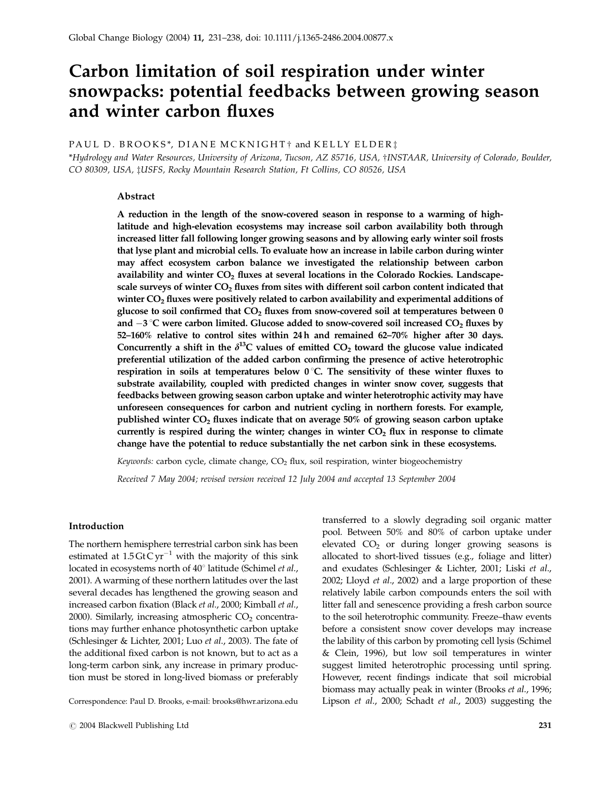# Carbon limitation of soil respiration under winter snowpacks: potential feedbacks between growing season and winter carbon fluxes

# PAUL D. BROOKS\*, DIANE MCKNIGHT  $\dagger$  and KELLY ELDER $\dagger$

\*Hydrology and Water Resources, University of Arizona, Tucson, AZ 85716, USA, wINSTAAR, University of Colorado, Boulder, CO 80309, USA, ‡USFS, Rocky Mountain Research Station, Ft Collins, CO 80526, USA

# Abstract

A reduction in the length of the snow-covered season in response to a warming of highlatitude and high-elevation ecosystems may increase soil carbon availability both through increased litter fall following longer growing seasons and by allowing early winter soil frosts that lyse plant and microbial cells. To evaluate how an increase in labile carbon during winter may affect ecosystem carbon balance we investigated the relationship between carbon availability and winter  $CO<sub>2</sub>$  fluxes at several locations in the Colorado Rockies. Landscapescale surveys of winter  $CO<sub>2</sub>$  fluxes from sites with different soil carbon content indicated that winter  $CO<sub>2</sub>$  fluxes were positively related to carbon availability and experimental additions of glucose to soil confirmed that  $CO<sub>2</sub>$  fluxes from snow-covered soil at temperatures between 0 and  $-3$  °C were carbon limited. Glucose added to snow-covered soil increased CO<sub>2</sub> fluxes by 52–160% relative to control sites within 24 h and remained 62–70% higher after 30 days. Concurrently a shift in the  $\delta^{13}$ C values of emitted CO<sub>2</sub> toward the glucose value indicated preferential utilization of the added carbon confirming the presence of active heterotrophic respiration in soils at temperatures below  $0^{\circ}$ C. The sensitivity of these winter fluxes to substrate availability, coupled with predicted changes in winter snow cover, suggests that feedbacks between growing season carbon uptake and winter heterotrophic activity may have unforeseen consequences for carbon and nutrient cycling in northern forests. For example, published winter  $CO<sub>2</sub>$  fluxes indicate that on average 50% of growing season carbon uptake currently is respired during the winter; changes in winter  $CO<sub>2</sub>$  flux in response to climate change have the potential to reduce substantially the net carbon sink in these ecosystems.

Keywords: carbon cycle, climate change,  $CO<sub>2</sub>$  flux, soil respiration, winter biogeochemistry

Received 7 May 2004; revised version received 12 July 2004 and accepted 13 September 2004

## Introduction

The northern hemisphere terrestrial carbon sink has been estimated at  $1.5 \text{Gt} \text{C yr}^{-1}$  with the majority of this sink located in ecosystems north of 40° latitude (Schimel et al., 2001). A warming of these northern latitudes over the last several decades has lengthened the growing season and increased carbon fixation (Black et al., 2000; Kimball et al., 2000). Similarly, increasing atmospheric  $CO<sub>2</sub>$  concentrations may further enhance photosynthetic carbon uptake (Schlesinger & Lichter, 2001; Luo et al., 2003). The fate of the additional fixed carbon is not known, but to act as a long-term carbon sink, any increase in primary production must be stored in long-lived biomass or preferably

Correspondence: Paul D. Brooks, e-mail: brooks@hwr.arizona.edu Lipson et al., 2000; Schadt et al., 2003) suggesting the

transferred to a slowly degrading soil organic matter pool. Between 50% and 80% of carbon uptake under elevated  $CO<sub>2</sub>$  or during longer growing seasons is allocated to short-lived tissues (e.g., foliage and litter) and exudates (Schlesinger & Lichter, 2001; Liski et al., 2002; Lloyd et al., 2002) and a large proportion of these relatively labile carbon compounds enters the soil with litter fall and senescence providing a fresh carbon source to the soil heterotrophic community. Freeze–thaw events before a consistent snow cover develops may increase the lability of this carbon by promoting cell lysis (Schimel & Clein, 1996), but low soil temperatures in winter suggest limited heterotrophic processing until spring. However, recent findings indicate that soil microbial biomass may actually peak in winter (Brooks et al., 1996;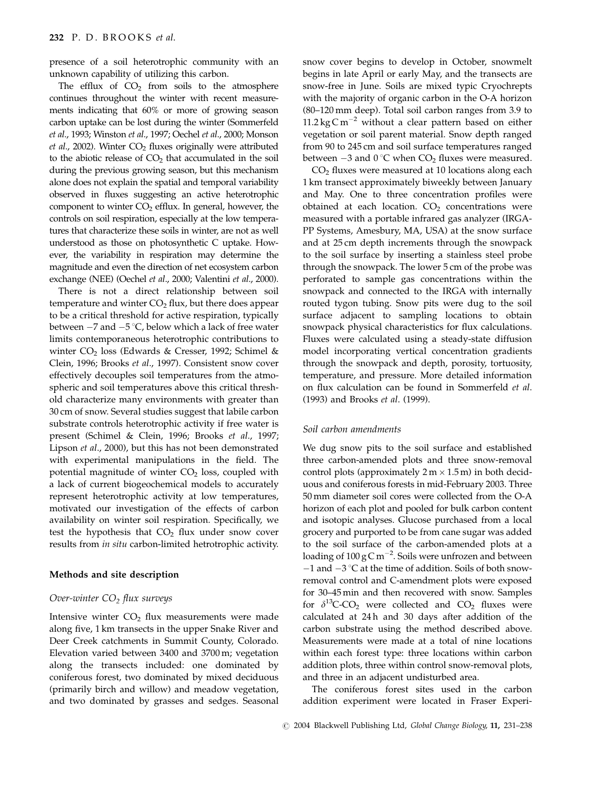presence of a soil heterotrophic community with an unknown capability of utilizing this carbon.

The efflux of  $CO<sub>2</sub>$  from soils to the atmosphere continues throughout the winter with recent measurements indicating that 60% or more of growing season carbon uptake can be lost during the winter (Sommerfeld et al., 1993; Winston et al., 1997; Oechel et al., 2000; Monson et al., 2002). Winter  $CO<sub>2</sub>$  fluxes originally were attributed to the abiotic release of  $CO<sub>2</sub>$  that accumulated in the soil during the previous growing season, but this mechanism alone does not explain the spatial and temporal variability observed in fluxes suggesting an active heterotrophic component to winter  $CO<sub>2</sub>$  efflux. In general, however, the controls on soil respiration, especially at the low temperatures that characterize these soils in winter, are not as well understood as those on photosynthetic C uptake. However, the variability in respiration may determine the magnitude and even the direction of net ecosystem carbon exchange (NEE) (Oechel et al., 2000; Valentini et al., 2000).

There is not a direct relationship between soil temperature and winter  $CO<sub>2</sub>$  flux, but there does appear to be a critical threshold for active respiration, typically between  $-7$  and  $-5$  °C, below which a lack of free water limits contemporaneous heterotrophic contributions to winter  $CO<sub>2</sub>$  loss (Edwards & Cresser, 1992; Schimel & Clein, 1996; Brooks et al., 1997). Consistent snow cover effectively decouples soil temperatures from the atmospheric and soil temperatures above this critical threshold characterize many environments with greater than 30 cm of snow. Several studies suggest that labile carbon substrate controls heterotrophic activity if free water is present (Schimel & Clein, 1996; Brooks et al., 1997; Lipson et al., 2000), but this has not been demonstrated with experimental manipulations in the field. The potential magnitude of winter  $CO<sub>2</sub>$  loss, coupled with a lack of current biogeochemical models to accurately represent heterotrophic activity at low temperatures, motivated our investigation of the effects of carbon availability on winter soil respiration. Specifically, we test the hypothesis that  $CO<sub>2</sub>$  flux under snow cover results from in situ carbon-limited hetrotrophic activity.

## Methods and site description

# Over-winter  $CO<sub>2</sub>$  flux surveys

Intensive winter  $CO<sub>2</sub>$  flux measurements were made along five, 1 km transects in the upper Snake River and Deer Creek catchments in Summit County, Colorado. Elevation varied between 3400 and 3700 m; vegetation along the transects included: one dominated by coniferous forest, two dominated by mixed deciduous (primarily birch and willow) and meadow vegetation, and two dominated by grasses and sedges. Seasonal

snow cover begins to develop in October, snowmelt begins in late April or early May, and the transects are snow-free in June. Soils are mixed typic Cryochrepts with the majority of organic carbon in the O-A horizon (80–120 mm deep). Total soil carbon ranges from 3.9 to 11.2 kg C m<sup>-2</sup> without a clear pattern based on either vegetation or soil parent material. Snow depth ranged from 90 to 245 cm and soil surface temperatures ranged between  $-3$  and  $0^{\circ}$ C when CO<sub>2</sub> fluxes were measured.

 $CO<sub>2</sub>$  fluxes were measured at 10 locations along each 1 km transect approximately biweekly between January and May. One to three concentration profiles were obtained at each location.  $CO<sub>2</sub>$  concentrations were measured with a portable infrared gas analyzer (IRGA-PP Systems, Amesbury, MA, USA) at the snow surface and at 25 cm depth increments through the snowpack to the soil surface by inserting a stainless steel probe through the snowpack. The lower 5 cm of the probe was perforated to sample gas concentrations within the snowpack and connected to the IRGA with internally routed tygon tubing. Snow pits were dug to the soil surface adjacent to sampling locations to obtain snowpack physical characteristics for flux calculations. Fluxes were calculated using a steady-state diffusion model incorporating vertical concentration gradients through the snowpack and depth, porosity, tortuosity, temperature, and pressure. More detailed information on flux calculation can be found in Sommerfeld et al. (1993) and Brooks et al. (1999).

### Soil carbon amendments

We dug snow pits to the soil surface and established three carbon-amended plots and three snow-removal control plots (approximately  $2 \text{ m} \times 1.5 \text{ m}$ ) in both deciduous and coniferous forests in mid-February 2003. Three 50 mm diameter soil cores were collected from the O-A horizon of each plot and pooled for bulk carbon content and isotopic analyses. Glucose purchased from a local grocery and purported to be from cane sugar was added to the soil surface of the carbon-amended plots at a loading of 100 g C m $^{-2}$ . Soils were unfrozen and between  $-1$  and  $-3$  °C at the time of addition. Soils of both snowremoval control and C-amendment plots were exposed for 30–45 min and then recovered with snow. Samples for  $\delta^{13}$ C-CO<sub>2</sub> were collected and CO<sub>2</sub> fluxes were calculated at 24 h and 30 days after addition of the carbon substrate using the method described above. Measurements were made at a total of nine locations within each forest type: three locations within carbon addition plots, three within control snow-removal plots, and three in an adjacent undisturbed area.

The coniferous forest sites used in the carbon addition experiment were located in Fraser Experi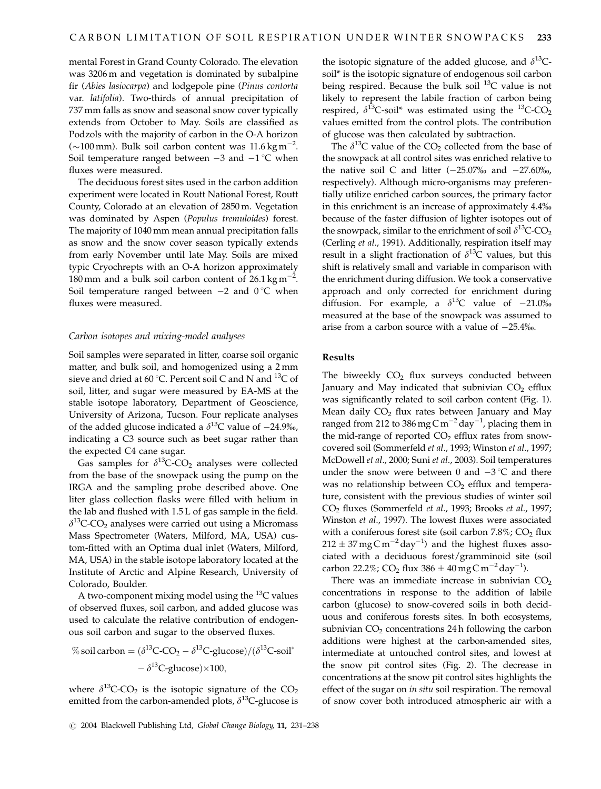mental Forest in Grand County Colorado. The elevation was 3206 m and vegetation is dominated by subalpine fir (Abies lasiocarpa) and lodgepole pine (Pinus contorta var. latifolia). Two-thirds of annual precipitation of 737 mm falls as snow and seasonal snow cover typically extends from October to May. Soils are classified as Podzols with the majority of carbon in the O-A horizon ( $\sim$ 100 mm). Bulk soil carbon content was 11.6 kg m<sup>-2</sup>. Soil temperature ranged between  $-3$  and  $-1$  °C when fluxes were measured.

The deciduous forest sites used in the carbon addition experiment were located in Routt National Forest, Routt County, Colorado at an elevation of 2850 m. Vegetation was dominated by Aspen (Populus tremuloides) forest. The majority of 1040 mm mean annual precipitation falls as snow and the snow cover season typically extends from early November until late May. Soils are mixed typic Cryochrepts with an O-A horizon approximately 180 mm and a bulk soil carbon content of  $26.1 \text{ kg m}^{-2}$ . Soil temperature ranged between  $-2$  and  $0^{\circ}$ C when fluxes were measured.

#### Carbon isotopes and mixing-model analyses

Soil samples were separated in litter, coarse soil organic matter, and bulk soil, and homogenized using a 2 mm sieve and dried at 60 °C. Percent soil C and N and <sup>13</sup>C of soil, litter, and sugar were measured by EA-MS at the stable isotope laboratory, Department of Geoscience, University of Arizona, Tucson. Four replicate analyses of the added glucose indicated a  $\delta^{13}$ C value of -24.9‰, indicating a C3 source such as beet sugar rather than the expected C4 cane sugar.

Gas samples for  $\delta^{13}$ C-CO<sub>2</sub> analyses were collected from the base of the snowpack using the pump on the IRGA and the sampling probe described above. One liter glass collection flasks were filled with helium in the lab and flushed with 1.5 L of gas sample in the field.  $\delta^{13}$ C-CO<sub>2</sub> analyses were carried out using a Micromass Mass Spectrometer (Waters, Milford, MA, USA) custom-fitted with an Optima dual inlet (Waters, Milford, MA, USA) in the stable isotope laboratory located at the Institute of Arctic and Alpine Research, University of Colorado, Boulder.

A two-component mixing model using the  $^{13}C$  values of observed fluxes, soil carbon, and added glucose was used to calculate the relative contribution of endogenous soil carbon and sugar to the observed fluxes.

% soil carbon = 
$$
(\delta^{13}C\text{-}CO_2 - \delta^{13}C\text{-}glucose)/(\delta^{13}C\text{-}soil^*
$$
  
 $-\delta^{13}C\text{-}glucose) \times 100,$ 

where  $\delta^{13}$ C-CO<sub>2</sub> is the isotopic signature of the CO<sub>2</sub> emitted from the carbon-amended plots,  $\delta^{13}$ C-glucose is the isotopic signature of the added glucose, and  $\delta^{13}$ Csoil\* is the isotopic signature of endogenous soil carbon being respired. Because the bulk soil  $^{13}$ C value is not likely to represent the labile fraction of carbon being respired,  $\delta^{13}$ C-soil\* was estimated using the <sup>13</sup>C-CO<sub>2</sub> values emitted from the control plots. The contribution of glucose was then calculated by subtraction.

The  $\delta^{13}$ C value of the CO<sub>2</sub> collected from the base of the snowpack at all control sites was enriched relative to the native soil C and litter  $(-25.07)$ % and  $-27.60$ %, respectively). Although micro-organisms may preferentially utilize enriched carbon sources, the primary factor in this enrichment is an increase of approximately 4.4% because of the faster diffusion of lighter isotopes out of the snowpack, similar to the enrichment of soil  $\delta^{13}C$ -CO<sub>2</sub> (Cerling et al., 1991). Additionally, respiration itself may result in a slight fractionation of  $\delta^{13}C$  values, but this shift is relatively small and variable in comparison with the enrichment during diffusion. We took a conservative approach and only corrected for enrichment during diffusion. For example, a  $\delta^{13}$ C value of -21.0‰ measured at the base of the snowpack was assumed to arise from a carbon source with a value of  $-25.4%$ .

# Results

The biweekly  $CO<sub>2</sub>$  flux surveys conducted between January and May indicated that subnivian  $CO<sub>2</sub>$  efflux was significantly related to soil carbon content (Fig. 1). Mean daily  $CO<sub>2</sub>$  flux rates between January and May ranged from 212 to 386 mg C m<sup>-2</sup> day<sup>-1</sup>, placing them in the mid-range of reported  $CO<sub>2</sub>$  efflux rates from snowcovered soil (Sommerfeld et al., 1993; Winston et al., 1997; McDowell et al., 2000; Suni et al., 2003). Soil temperatures under the snow were between 0 and  $-3$  °C and there was no relationship between  $CO<sub>2</sub>$  efflux and temperature, consistent with the previous studies of winter soil CO2 fluxes (Sommerfeld et al., 1993; Brooks et al., 1997; Winston et al., 1997). The lowest fluxes were associated with a coniferous forest site (soil carbon  $7.8\%$ ; CO<sub>2</sub> flux  $212 \pm 37\,\rm{mg}\,\rm{C}\,\rm{m}^{-2}\,\rm{day}^{-1})$  and the highest fluxes associated with a deciduous forest/gramminoid site (soil carbon 22.2%; CO<sub>2</sub> flux 386  $\pm$  40 mg C m<sup>-2</sup> day<sup>-1</sup>).

There was an immediate increase in subnivian  $CO<sub>2</sub>$ concentrations in response to the addition of labile carbon (glucose) to snow-covered soils in both deciduous and coniferous forests sites. In both ecosystems, subnivian  $CO<sub>2</sub>$  concentrations 24 h following the carbon additions were highest at the carbon-amended sites, intermediate at untouched control sites, and lowest at the snow pit control sites (Fig. 2). The decrease in concentrations at the snow pit control sites highlights the effect of the sugar on in situ soil respiration. The removal of snow cover both introduced atmospheric air with a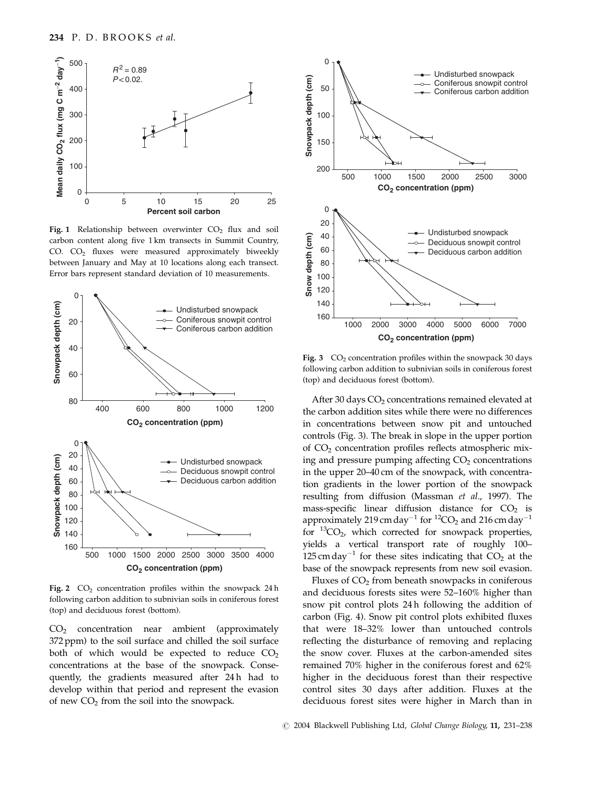

Fig. 1 Relationship between overwinter  $CO<sub>2</sub>$  flux and soil carbon content along five 1 km transects in Summit Country, CO.  $CO<sub>2</sub>$  fluxes were measured approximately biweekly between January and May at 10 locations along each transect. Error bars represent standard deviation of 10 measurements.



Fig. 2  $CO<sub>2</sub>$  concentration profiles within the snowpack 24 h following carbon addition to subnivian soils in coniferous forest (top) and deciduous forest (bottom).

CO2 concentration near ambient (approximately 372 ppm) to the soil surface and chilled the soil surface both of which would be expected to reduce  $CO<sub>2</sub>$ concentrations at the base of the snowpack. Consequently, the gradients measured after 24 h had to develop within that period and represent the evasion of new  $CO<sub>2</sub>$  from the soil into the snowpack.



Fig. 3  $CO<sub>2</sub>$  concentration profiles within the snowpack 30 days following carbon addition to subnivian soils in coniferous forest (top) and deciduous forest (bottom).

After 30 days CO<sub>2</sub> concentrations remained elevated at the carbon addition sites while there were no differences in concentrations between snow pit and untouched controls (Fig. 3). The break in slope in the upper portion of CO2 concentration profiles reflects atmospheric mixing and pressure pumping affecting  $CO<sub>2</sub>$  concentrations in the upper 20–40 cm of the snowpack, with concentration gradients in the lower portion of the snowpack resulting from diffusion (Massman et al., 1997). The mass-specific linear diffusion distance for  $CO<sub>2</sub>$  is approximately 219 cm day<sup>-1</sup> for <sup>12</sup>CO<sub>2</sub> and 216 cm day<sup>-1</sup> for  ${}^{13}CO_2$ , which corrected for snowpack properties, yields a vertical transport rate of roughly 100– 125 cm day<sup>-1</sup> for these sites indicating that  $CO<sub>2</sub>$  at the base of the snowpack represents from new soil evasion.

Fluxes of  $CO<sub>2</sub>$  from beneath snowpacks in coniferous and deciduous forests sites were 52–160% higher than snow pit control plots 24 h following the addition of carbon (Fig. 4). Snow pit control plots exhibited fluxes that were 18–32% lower than untouched controls reflecting the disturbance of removing and replacing the snow cover. Fluxes at the carbon-amended sites remained 70% higher in the coniferous forest and 62% higher in the deciduous forest than their respective control sites 30 days after addition. Fluxes at the deciduous forest sites were higher in March than in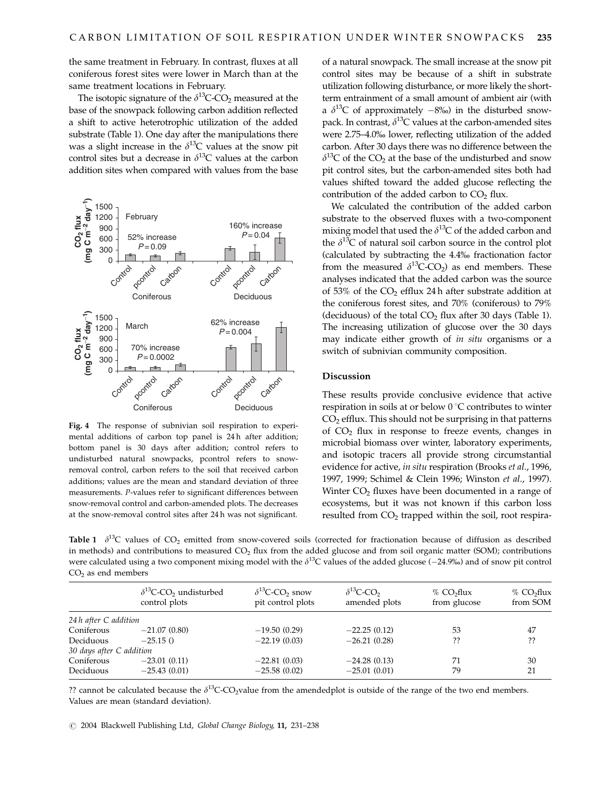the same treatment in February. In contrast, fluxes at all coniferous forest sites were lower in March than at the same treatment locations in February.

The isotopic signature of the  $\delta^{13}$ C-CO<sub>2</sub> measured at the base of the snowpack following carbon addition reflected a shift to active heterotrophic utilization of the added substrate (Table 1). One day after the manipulations there was a slight increase in the  $\delta^{13}$ C values at the snow pit control sites but a decrease in  $\delta^{13}$ C values at the carbon addition sites when compared with values from the base



Fig. 4 The response of subnivian soil respiration to experimental additions of carbon top panel is 24 h after addition; bottom panel is 30 days after addition; control refers to undisturbed natural snowpacks, pcontrol refers to snowremoval control, carbon refers to the soil that received carbon additions; values are the mean and standard deviation of three measurements. P-values refer to significant differences between snow-removal control and carbon-amended plots. The decreases at the snow-removal control sites after 24 h was not significant.

of a natural snowpack. The small increase at the snow pit control sites may be because of a shift in substrate utilization following disturbance, or more likely the shortterm entrainment of a small amount of ambient air (with a  $\delta^{13}$ C of approximately  $-8\%$ ) in the disturbed snowpack. In contrast,  $\delta^{13}$ C values at the carbon-amended sites were 2.75–4.0% lower, reflecting utilization of the added carbon. After 30 days there was no difference between the  $\delta^{13}$ C of the CO<sub>2</sub> at the base of the undisturbed and snow pit control sites, but the carbon-amended sites both had values shifted toward the added glucose reflecting the contribution of the added carbon to  $CO<sub>2</sub>$  flux.

We calculated the contribution of the added carbon substrate to the observed fluxes with a two-component mixing model that used the  $\delta^{13}C$  of the added carbon and the  $\delta^{13}$ C of natural soil carbon source in the control plot (calculated by subtracting the 4.4% fractionation factor from the measured  $\delta^{13}$ C-CO<sub>2</sub>) as end members. These analyses indicated that the added carbon was the source of 53% of the  $CO<sub>2</sub>$  efflux 24 h after substrate addition at the coniferous forest sites, and 70% (coniferous) to 79% (deciduous) of the total  $CO<sub>2</sub>$  flux after 30 days (Table 1). The increasing utilization of glucose over the 30 days may indicate either growth of *in situ* organisms or a switch of subnivian community composition.

## Discussion

These results provide conclusive evidence that active respiration in soils at or below  $0^{\circ}C$  contributes to winter  $CO<sub>2</sub>$  efflux. This should not be surprising in that patterns of  $CO<sub>2</sub>$  flux in response to freeze events, changes in microbial biomass over winter, laboratory experiments, and isotopic tracers all provide strong circumstantial evidence for active, in situ respiration (Brooks et al., 1996, 1997, 1999; Schimel & Clein 1996; Winston et al., 1997). Winter  $CO<sub>2</sub>$  fluxes have been documented in a range of ecosystems, but it was not known if this carbon loss resulted from  $CO<sub>2</sub>$  trapped within the soil, root respira-

**Table 1**  $\delta^{13}$ C values of CO<sub>2</sub> emitted from snow-covered soils (corrected for fractionation because of diffusion as described in methods) and contributions to measured  $CO<sub>2</sub>$  flux from the added glucose and from soil organic matter (SOM); contributions were calculated using a two component mixing model with the  $\delta^{13}$ C values of the added glucose (-24.9%) and of snow pit control  $CO<sub>2</sub>$  as end members

| $\delta^{13}$ C-CO <sub>2</sub> undisturbed<br>control plots |                | $\delta^{13}$ C-CO <sub>2</sub> snow<br>pit control plots | $\delta^{13}$ C-CO <sub>2</sub><br>amended plots | % CO <sub>2</sub> flux<br>from glucose | $%$ CO <sub>2</sub> flux<br>from SOM |  |
|--------------------------------------------------------------|----------------|-----------------------------------------------------------|--------------------------------------------------|----------------------------------------|--------------------------------------|--|
| 24h after C addition                                         |                |                                                           |                                                  |                                        |                                      |  |
| Coniferous                                                   | $-21.07(0.80)$ | $-19.50(0.29)$                                            | $-22.25(0.12)$                                   | 53                                     | 47                                   |  |
| Deciduous                                                    | $-25.15()$     | $-22.19(0.03)$                                            | $-26.21(0.28)$                                   | ??                                     | ??                                   |  |
| 30 days after C addition                                     |                |                                                           |                                                  |                                        |                                      |  |
| Coniferous                                                   | $-23.01(0.11)$ | $-22.81(0.03)$                                            | $-24.28(0.13)$                                   | 71                                     | 30                                   |  |
| Deciduous                                                    | $-25.43(0.01)$ | $-25.58(0.02)$                                            | $-25.01(0.01)$                                   | 79                                     | 21                                   |  |

?? cannot be calculated because the  $\delta^{13}$ C-CO<sub>2</sub>value from the amendedplot is outside of the range of the two end members. Values are mean (standard deviation).

r 2004 Blackwell Publishing Ltd, Global Change Biology, 11, 231–238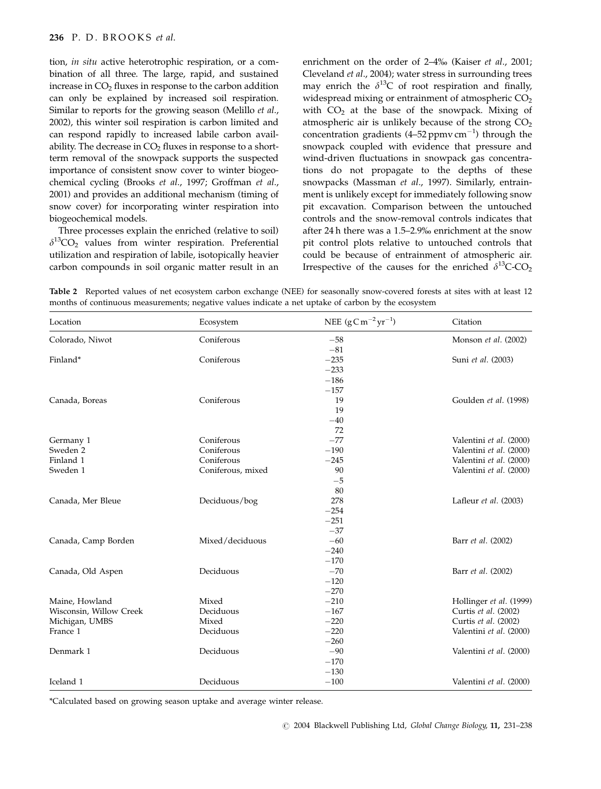## 236 P. D. BROOKS et al.

tion, in situ active heterotrophic respiration, or a combination of all three. The large, rapid, and sustained increase in  $CO<sub>2</sub>$  fluxes in response to the carbon addition can only be explained by increased soil respiration. Similar to reports for the growing season (Melillo et al., 2002), this winter soil respiration is carbon limited and can respond rapidly to increased labile carbon availability. The decrease in  $CO<sub>2</sub>$  fluxes in response to a shortterm removal of the snowpack supports the suspected importance of consistent snow cover to winter biogeochemical cycling (Brooks et al., 1997; Groffman et al., 2001) and provides an additional mechanism (timing of snow cover) for incorporating winter respiration into biogeochemical models.

Three processes explain the enriched (relative to soil)  $\delta^{13}$ CO<sub>2</sub> values from winter respiration. Preferential utilization and respiration of labile, isotopically heavier carbon compounds in soil organic matter result in an enrichment on the order of 2–4% (Kaiser *et al.*, 2001; Cleveland et al., 2004); water stress in surrounding trees may enrich the  $\delta^{13}$ C of root respiration and finally, widespread mixing or entrainment of atmospheric  $CO<sub>2</sub>$ with  $CO<sub>2</sub>$  at the base of the snowpack. Mixing of atmospheric air is unlikely because of the strong  $CO<sub>2</sub>$ concentration gradients (4–52 ppmv cm $^{-1}$ ) through the snowpack coupled with evidence that pressure and wind-driven fluctuations in snowpack gas concentrations do not propagate to the depths of these snowpacks (Massman et al., 1997). Similarly, entrainment is unlikely except for immediately following snow pit excavation. Comparison between the untouched controls and the snow-removal controls indicates that after 24 h there was a 1.5–2.9% enrichment at the snow pit control plots relative to untouched controls that could be because of entrainment of atmospheric air. Irrespective of the causes for the enriched  $\delta^{13}$ C-CO<sub>2</sub>

Table 2 Reported values of net ecosystem carbon exchange (NEE) for seasonally snow-covered forests at sites with at least 12 months of continuous measurements; negative values indicate a net uptake of carbon by the ecosystem

| Location                | Ecosystem         | NEE $(g \text{C m}^{-2} \text{yr}^{-1})$ | Citation                |
|-------------------------|-------------------|------------------------------------------|-------------------------|
| Colorado, Niwot         | Coniferous        | $-58$                                    | Monson et al. (2002)    |
|                         |                   | $-81$                                    |                         |
| Finland*                | Coniferous        | $-235$                                   | Suni et al. (2003)      |
|                         |                   | $-233$                                   |                         |
|                         |                   | $-186$                                   |                         |
|                         |                   | $-157$                                   |                         |
| Canada, Boreas          | Coniferous        | 19                                       | Goulden et al. (1998)   |
|                         |                   | 19                                       |                         |
|                         |                   | $-40$                                    |                         |
|                         |                   | 72                                       |                         |
| Germany 1               | Coniferous        | $-77$                                    | Valentini et al. (2000) |
| Sweden 2                | Coniferous        | $-190$                                   | Valentini et al. (2000) |
| Finland 1               | Coniferous        | $-245$                                   | Valentini et al. (2000) |
| Sweden 1                | Coniferous, mixed | 90                                       | Valentini et al. (2000) |
|                         |                   | $-5$                                     |                         |
|                         |                   | 80                                       |                         |
| Canada, Mer Bleue       | Deciduous/bog     | 278                                      | Lafleur et al. (2003)   |
|                         |                   | $-254$                                   |                         |
|                         |                   | $-251$                                   |                         |
|                         |                   | $-37$                                    |                         |
| Canada, Camp Borden     | Mixed/deciduous   | $-60$                                    | Barr et al. (2002)      |
|                         |                   | $-240$                                   |                         |
|                         |                   | $-170$                                   |                         |
| Canada, Old Aspen       | Deciduous         | $-70$                                    | Barr et al. (2002)      |
|                         |                   | $-120$                                   |                         |
|                         |                   | $-270$                                   |                         |
| Maine, Howland          | Mixed             | $-210$                                   | Hollinger et al. (1999) |
| Wisconsin, Willow Creek | Deciduous         | $-167$                                   | Curtis et al. (2002)    |
| Michigan, UMBS          | Mixed             | $-220$                                   | Curtis et al. (2002)    |
| France 1                | Deciduous         | $-220$                                   | Valentini et al. (2000) |
|                         |                   | $-260$                                   |                         |
| Denmark 1               | Deciduous         | $-90$                                    | Valentini et al. (2000) |
|                         |                   | $-170$                                   |                         |
|                         |                   | $-130$                                   |                         |
| Iceland 1               | Deciduous         | $-100$                                   | Valentini et al. (2000) |

\*Calculated based on growing season uptake and average winter release.

 $C$  2004 Blackwell Publishing Ltd, Global Change Biology, 11, 231–238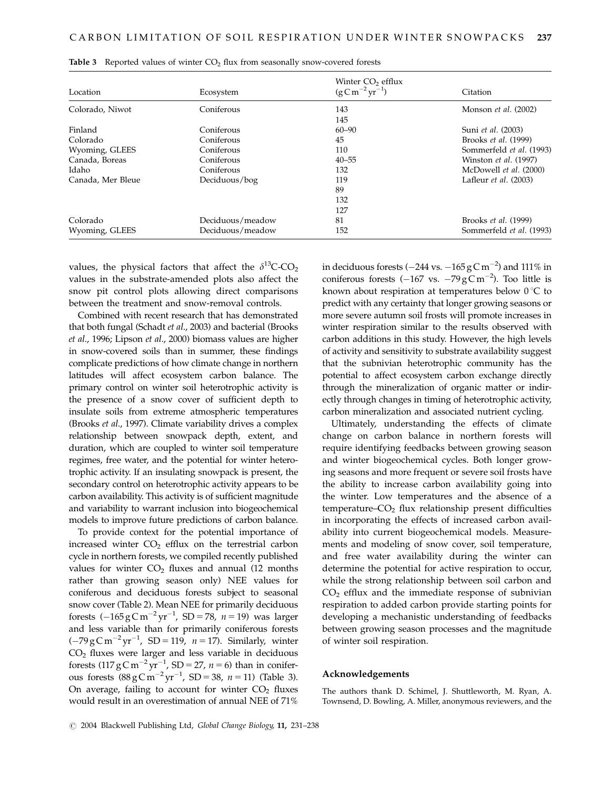| Location          | Ecosystem        | Winter CO <sub>2</sub> efflux<br>$(g\,C\,m^{-2}\,yr^{-1})$ | Citation                    |
|-------------------|------------------|------------------------------------------------------------|-----------------------------|
| Colorado, Niwot   | Coniferous       | 143<br>145                                                 | Monson <i>et al.</i> (2002) |
| Finland           | Coniferous       | $60 - 90$                                                  | Suni et al. (2003)          |
| Colorado          | Coniferous       | 45                                                         | Brooks et al. (1999)        |
| Wyoming, GLEES    | Coniferous       | 110                                                        | Sommerfeld et al. (1993)    |
| Canada, Boreas    | Coniferous       | $40 - 55$                                                  | Winston et al. (1997)       |
| Idaho             | Coniferous       | 132                                                        | McDowell et al. (2000)      |
| Canada, Mer Bleue | Deciduous/bog    | 119                                                        | Lafleur $et$ al. $(2003)$   |
|                   |                  | 89                                                         |                             |
|                   |                  | 132                                                        |                             |
|                   |                  | 127                                                        |                             |
| Colorado          | Deciduous/meadow | 81                                                         | Brooks et al. (1999)        |
| Wyoming, GLEES    | Deciduous/meadow | 152                                                        | Sommerfeld et al. (1993)    |

|  |  |  |  |  |  |  |  |  | <b>Table 3</b> Reported values of winter $CO2$ flux from seasonally snow-covered forests |  |
|--|--|--|--|--|--|--|--|--|------------------------------------------------------------------------------------------|--|
|--|--|--|--|--|--|--|--|--|------------------------------------------------------------------------------------------|--|

values, the physical factors that affect the  $\delta^{13}$ C-CO<sub>2</sub> values in the substrate-amended plots also affect the snow pit control plots allowing direct comparisons between the treatment and snow-removal controls.

Combined with recent research that has demonstrated that both fungal (Schadt et al., 2003) and bacterial (Brooks et al., 1996; Lipson et al., 2000) biomass values are higher in snow-covered soils than in summer, these findings complicate predictions of how climate change in northern latitudes will affect ecosystem carbon balance. The primary control on winter soil heterotrophic activity is the presence of a snow cover of sufficient depth to insulate soils from extreme atmospheric temperatures (Brooks et al., 1997). Climate variability drives a complex relationship between snowpack depth, extent, and duration, which are coupled to winter soil temperature regimes, free water, and the potential for winter heterotrophic activity. If an insulating snowpack is present, the secondary control on heterotrophic activity appears to be carbon availability. This activity is of sufficient magnitude and variability to warrant inclusion into biogeochemical models to improve future predictions of carbon balance.

To provide context for the potential importance of increased winter  $CO<sub>2</sub>$  efflux on the terrestrial carbon cycle in northern forests, we compiled recently published values for winter  $CO<sub>2</sub>$  fluxes and annual (12 months rather than growing season only) NEE values for coniferous and deciduous forests subject to seasonal snow cover (Table 2). Mean NEE for primarily deciduous forests  $(-165 \text{ g C m}^{-2} \text{ yr}^{-1}$ , SD = 78,  $n = 19$ ) was larger and less variable than for primarily coniferous forests  $(-79 \text{ g C m}^{-2} \text{ yr}^{-1}$ , SD = 119, n = 17). Similarly, winter CO2 fluxes were larger and less variable in deciduous forests  $(117 \text{ g} \text{C m}^{-2} \text{ yr}^{-1}$ , SD = 27,  $n = 6$ ) than in coniferous forests  $(88 \text{ g} \text{ C m}^{-2} \text{ yr}^{-1}$ , SD = 38,  $n = 11)$  (Table 3). On average, failing to account for winter  $CO<sub>2</sub>$  fluxes would result in an overestimation of annual NEE of 71%

in deciduous forests ( $-244$  vs.  $-165$   $\rm g$  C  $\rm m^{-2})$  and 111% in coniferous forests  $(-167 \text{ vs. } -79 \text{ g C m}^{-2})$ . Too little is known about respiration at temperatures below  $0^{\circ}C$  to predict with any certainty that longer growing seasons or more severe autumn soil frosts will promote increases in winter respiration similar to the results observed with carbon additions in this study. However, the high levels of activity and sensitivity to substrate availability suggest that the subnivian heterotrophic community has the potential to affect ecosystem carbon exchange directly through the mineralization of organic matter or indirectly through changes in timing of heterotrophic activity, carbon mineralization and associated nutrient cycling.

Ultimately, understanding the effects of climate change on carbon balance in northern forests will require identifying feedbacks between growing season and winter biogeochemical cycles. Both longer growing seasons and more frequent or severe soil frosts have the ability to increase carbon availability going into the winter. Low temperatures and the absence of a temperature– $CO<sub>2</sub>$  flux relationship present difficulties in incorporating the effects of increased carbon availability into current biogeochemical models. Measurements and modeling of snow cover, soil temperature, and free water availability during the winter can determine the potential for active respiration to occur, while the strong relationship between soil carbon and  $CO<sub>2</sub>$  efflux and the immediate response of subnivian respiration to added carbon provide starting points for developing a mechanistic understanding of feedbacks between growing season processes and the magnitude of winter soil respiration.

## Acknowledgements

The authors thank D. Schimel, J. Shuttleworth, M. Ryan, A. Townsend, D. Bowling, A. Miller, anonymous reviewers, and the